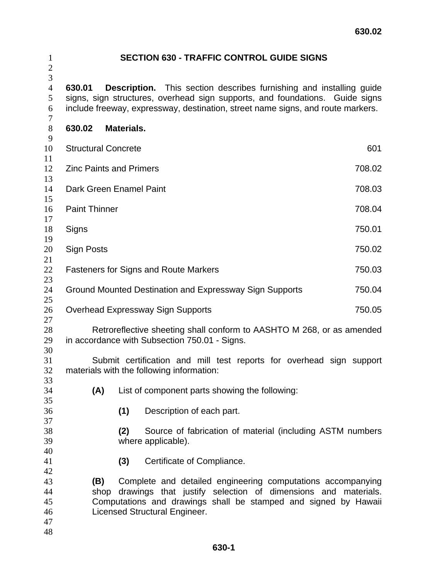| $\mathbf{1}$<br>$\mathbf{2}$           |            |                                                                                                                                                                                                                                                | <b>SECTION 630 - TRAFFIC CONTROL GUIDE SIGNS</b>                                |  |  |  |
|----------------------------------------|------------|------------------------------------------------------------------------------------------------------------------------------------------------------------------------------------------------------------------------------------------------|---------------------------------------------------------------------------------|--|--|--|
| 3<br>$\overline{4}$<br>5<br>6<br>7     | 630.01     | <b>Description.</b> This section describes furnishing and installing guide<br>signs, sign structures, overhead sign supports, and foundations. Guide signs<br>include freeway, expressway, destination, street name signs, and route markers.  |                                                                                 |  |  |  |
| $8\,$<br>9                             | 630.02     | <b>Materials.</b>                                                                                                                                                                                                                              |                                                                                 |  |  |  |
| 10<br>11                               |            | <b>Structural Concrete</b><br>601                                                                                                                                                                                                              |                                                                                 |  |  |  |
| 12<br>13                               |            | <b>Zinc Paints and Primers</b><br>708.02                                                                                                                                                                                                       |                                                                                 |  |  |  |
| 14<br>15                               |            | Dark Green Enamel Paint<br>708.03                                                                                                                                                                                                              |                                                                                 |  |  |  |
| 16<br>17                               |            | <b>Paint Thinner</b><br>708.04                                                                                                                                                                                                                 |                                                                                 |  |  |  |
| 18<br>19                               | Signs      | 750.01                                                                                                                                                                                                                                         |                                                                                 |  |  |  |
| 20<br>21                               | Sign Posts | 750.02                                                                                                                                                                                                                                         |                                                                                 |  |  |  |
| 22<br>23                               |            | 750.03<br><b>Fasteners for Signs and Route Markers</b>                                                                                                                                                                                         |                                                                                 |  |  |  |
| 24<br>25                               |            | Ground Mounted Destination and Expressway Sign Supports<br>750.04                                                                                                                                                                              |                                                                                 |  |  |  |
| 26<br>27                               |            | <b>Overhead Expressway Sign Supports</b><br>750.05                                                                                                                                                                                             |                                                                                 |  |  |  |
| 28<br>29<br>30                         |            | Retroreflective sheeting shall conform to AASHTO M 268, or as amended<br>in accordance with Subsection 750.01 - Signs.                                                                                                                         |                                                                                 |  |  |  |
| 31<br>32<br>33                         |            | Submit certification and mill test reports for overhead sign support<br>materials with the following information:                                                                                                                              |                                                                                 |  |  |  |
| 34                                     | (A)        |                                                                                                                                                                                                                                                | List of component parts showing the following:                                  |  |  |  |
| 35<br>36                               |            | (1)                                                                                                                                                                                                                                            | Description of each part.                                                       |  |  |  |
| 37<br>38<br>39                         |            | (2)                                                                                                                                                                                                                                            | Source of fabrication of material (including ASTM numbers<br>where applicable). |  |  |  |
| 40<br>41                               |            | (3)                                                                                                                                                                                                                                            | Certificate of Compliance.                                                      |  |  |  |
| 42<br>43<br>44<br>45<br>46<br>47<br>48 |            | Complete and detailed engineering computations accompanying<br>(B)<br>drawings that justify selection of dimensions and materials.<br>shop<br>Computations and drawings shall be stamped and signed by Hawaii<br>Licensed Structural Engineer. |                                                                                 |  |  |  |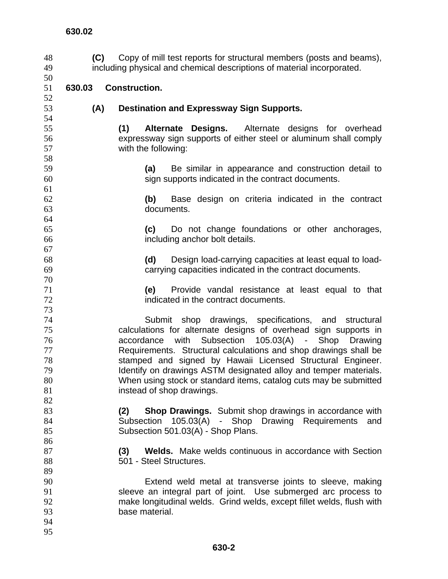**(C)** Copy of mill test reports for structural members (posts and beams), including physical and chemical descriptions of material incorporated. **630.02 630.03 Construction. (A) Destination and Expressway Sign Supports. (1) Alternate Designs.** Alternate designs for overhead expressway sign supports of either steel or aluminum shall comply with the following: **(a)** Be similar in appearance and construction detail to sign supports indicated in the contract documents. **(b)** Base design on criteria indicated in the contract documents. **(c)** Do not change foundations or other anchorages, including anchor bolt details. **(d)** Design load-carrying capacities at least equal to load-carrying capacities indicated in the contract documents. **(e)** Provide vandal resistance at least equal to that indicated in the contract documents. Submit shop drawings, specifications, and structural calculations for alternate designs of overhead sign supports in accordance with Subsection 105.03(A) - Shop Drawing Requirements. Structural calculations and shop drawings shall be stamped and signed by Hawaii Licensed Structural Engineer. 79 Identify on drawings ASTM designated alloy and temper materials. When using stock or standard items, catalog cuts may be submitted **instead of shop drawings. (2) Shop Drawings.** Submit shop drawings in accordance with Subsection 105.03(A) - Shop Drawing Requirements and 85 Subsection 501.03(A) - Shop Plans. **(3) Welds.** Make welds continuous in accordance with Section 88 501 - Steel Structures. Extend weld metal at transverse joints to sleeve, making sleeve an integral part of joint. Use submerged arc process to make longitudinal welds. Grind welds, except fillet welds, flush with base material.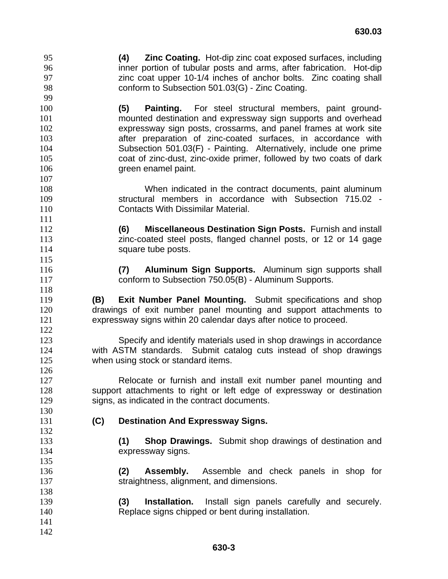**(4) Zinc Coating.** Hot-dip zinc coat exposed surfaces, including inner portion of tubular posts and arms, after fabrication. Hot-dip zinc coat upper 10-1/4 inches of anchor bolts. Zinc coating shall conform to Subsection 501.03(G) - Zinc Coating. 

**(5) Painting.** For steel structural members, paint ground-mounted destination and expressway sign supports and overhead expressway sign posts, crossarms, and panel frames at work site after preparation of zinc-coated surfaces, in accordance with Subsection 501.03(F) - Painting. Alternatively, include one prime coat of zinc-dust, zinc-oxide primer, followed by two coats of dark 106 green enamel paint.

When indicated in the contract documents, paint aluminum structural members in accordance with Subsection 715.02 - Contacts With Dissimilar Material.

**(6) Miscellaneous Destination Sign Posts.** Furnish and install zinc-coated steel posts, flanged channel posts, or 12 or 14 gage **Square tube posts.** 

**(7) Aluminum Sign Supports.** Aluminum sign supports shall conform to Subsection 750.05(B) - Aluminum Supports.

**(B) Exit Number Panel Mounting.** Submit specifications and shop drawings of exit number panel mounting and support attachments to expressway signs within 20 calendar days after notice to proceed.

Specify and identify materials used in shop drawings in accordance with ASTM standards. Submit catalog cuts instead of shop drawings 125 when using stock or standard items.

Relocate or furnish and install exit number panel mounting and support attachments to right or left edge of expressway or destination signs, as indicated in the contract documents.

**(C) Destination And Expressway Signs.**

**(1) Shop Drawings.** Submit shop drawings of destination and expressway signs.

**(2) Assembly.** Assemble and check panels in shop for straightness, alignment, and dimensions.

**(3) Installation.** Install sign panels carefully and securely. Replace signs chipped or bent during installation.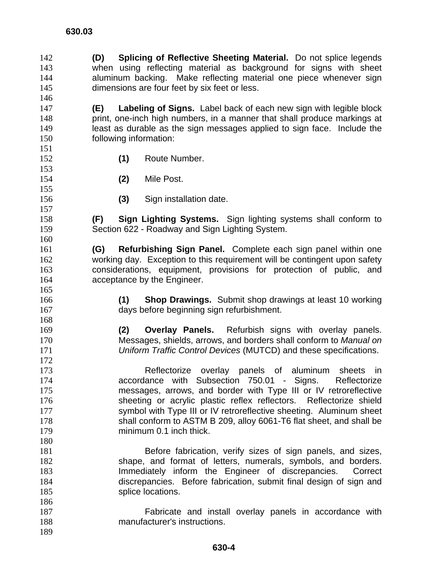**(D) Splicing of Reflective Sheeting Material.** Do not splice legends when using reflecting material as background for signs with sheet 144 aluminum backing. Make reflecting material one piece whenever sign 145 dimensions are four feet by six feet or less. **(E) Labeling of Signs.** Label back of each new sign with legible block

**print, one-inch high numbers, in a manner that shall produce markings at** least as durable as the sign messages applied to sign face. Include the following information:

- **(1)** Route Number.
- **(2)** Mile Post.
- 

**(3)** Sign installation date.

**(F) Sign Lighting Systems.** Sign lighting systems shall conform to Section 622 - Roadway and Sign Lighting System.

**(G) Refurbishing Sign Panel.** Complete each sign panel within one working day. Exception to this requirement will be contingent upon safety considerations, equipment, provisions for protection of public, and acceptance by the Engineer.

**(1) Shop Drawings.** Submit shop drawings at least 10 working days before beginning sign refurbishment.

**(2) Overlay Panels.** Refurbish signs with overlay panels. Messages, shields, arrows, and borders shall conform to *Manual on Uniform Traffic Control Devices* (MUTCD) and these specifications.

Reflectorize overlay panels of aluminum sheets in accordance with Subsection 750.01 - Signs. Reflectorize messages, arrows, and border with Type III or IV retroreflective sheeting or acrylic plastic reflex reflectors. Reflectorize shield symbol with Type III or IV retroreflective sheeting. Aluminum sheet shall conform to ASTM B 209, alloy 6061-T6 flat sheet, and shall be minimum 0.1 inch thick.

Before fabrication, verify sizes of sign panels, and sizes, shape, and format of letters, numerals, symbols, and borders. Immediately inform the Engineer of discrepancies. Correct discrepancies. Before fabrication, submit final design of sign and 185 splice locations.

Fabricate and install overlay panels in accordance with manufacturer's instructions.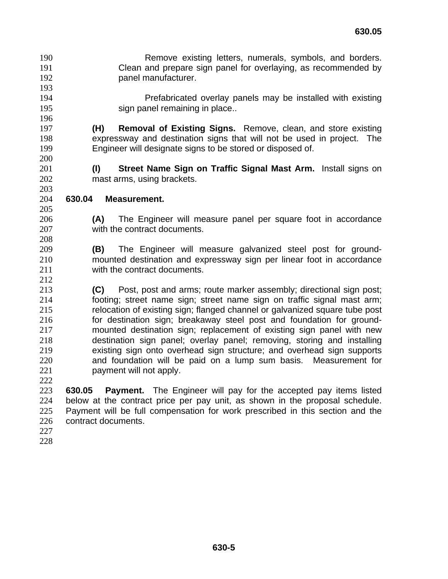- Remove existing letters, numerals, symbols, and borders. Clean and prepare sign panel for overlaying, as recommended by panel manufacturer.
- Prefabricated overlay panels may be installed with existing 195 sign panel remaining in place..

## **(H) Removal of Existing Signs.** Remove, clean, and store existing expressway and destination signs that will not be used in project. The Engineer will designate signs to be stored or disposed of.

**(I) Street Name Sign on Traffic Signal Mast Arm.** Install signs on mast arms, using brackets.

- **630.04 Measurement.**
- 

**(A)** The Engineer will measure panel per square foot in accordance with the contract documents.

- **(B)** The Engineer will measure galvanized steel post for ground-mounted destination and expressway sign per linear foot in accordance with the contract documents.
- **(C)** Post, post and arms; route marker assembly; directional sign post; footing; street name sign; street name sign on traffic signal mast arm; relocation of existing sign; flanged channel or galvanized square tube post for destination sign; breakaway steel post and foundation for ground-mounted destination sign; replacement of existing sign panel with new destination sign panel; overlay panel; removing, storing and installing existing sign onto overhead sign structure; and overhead sign supports and foundation will be paid on a lump sum basis. Measurement for payment will not apply.

**630.05 Payment.** The Engineer will pay for the accepted pay items listed below at the contract price per pay unit, as shown in the proposal schedule. Payment will be full compensation for work prescribed in this section and the contract documents.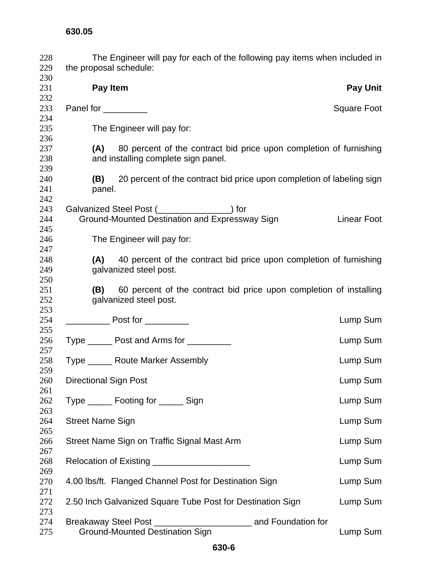| 228<br>229 | The Engineer will pay for each of the following pay items when included in<br>the proposal schedule: |                    |
|------------|------------------------------------------------------------------------------------------------------|--------------------|
| 230        |                                                                                                      |                    |
| 231        | Pay Item                                                                                             | <b>Pay Unit</b>    |
| 232        |                                                                                                      |                    |
| 233        | Panel for _________                                                                                  | Square Foot        |
| 234        |                                                                                                      |                    |
| 235        | The Engineer will pay for:                                                                           |                    |
| 236        |                                                                                                      |                    |
| 237        | (A) 80 percent of the contract bid price upon completion of furnishing                               |                    |
| 238        | and installing complete sign panel.                                                                  |                    |
| 239        |                                                                                                      |                    |
| 240        | (B) 20 percent of the contract bid price upon completion of labeling sign                            |                    |
| 241        | panel.                                                                                               |                    |
| 242        |                                                                                                      |                    |
| 243        | Galvanized Steel Post ( <u> Calvanized</u> ) for                                                     |                    |
| 244        | Ground-Mounted Destination and Expressway Sign                                                       | <b>Linear Foot</b> |
| 245        |                                                                                                      |                    |
|            |                                                                                                      |                    |
| 246        | The Engineer will pay for:                                                                           |                    |
| 247        |                                                                                                      |                    |
| 248        | 40 percent of the contract bid price upon completion of furnishing<br>(A)                            |                    |
| 249        | galvanized steel post.                                                                               |                    |
| 250        |                                                                                                      |                    |
| 251        | 60 percent of the contract bid price upon completion of installing<br>(B)                            |                    |
| 252        | galvanized steel post.                                                                               |                    |
| 253        |                                                                                                      |                    |
| 254        |                                                                                                      | Lump Sum           |
| 255        |                                                                                                      |                    |
| 256        | Type _______ Post and Arms for _________                                                             | Lump Sum           |
| 257        |                                                                                                      |                    |
| 258        | Type ______ Route Marker Assembly                                                                    | Lump Sum           |
| 259        |                                                                                                      |                    |
| 260        | <b>Directional Sign Post</b>                                                                         | Lump Sum           |
| 261        |                                                                                                      |                    |
| 262        | Type _______ Footing for _______ Sign                                                                | Lump Sum           |
| 263        |                                                                                                      |                    |
| 264        | <b>Street Name Sign</b>                                                                              | Lump Sum           |
| 265        |                                                                                                      |                    |
| 266        | Street Name Sign on Traffic Signal Mast Arm                                                          | Lump Sum           |
| 267        |                                                                                                      |                    |
| 268        | Relocation of Existing ________________________                                                      | Lump Sum           |
| 269        |                                                                                                      |                    |
| 270        | 4.00 lbs/ft. Flanged Channel Post for Destination Sign                                               | Lump Sum           |
| 271        |                                                                                                      |                    |
| 272        | 2.50 Inch Galvanized Square Tube Post for Destination Sign                                           | Lump Sum           |
| 273        |                                                                                                      |                    |
| 274        |                                                                                                      |                    |
| 275        | <b>Ground-Mounted Destination Sign</b>                                                               | Lump Sum           |
|            |                                                                                                      |                    |